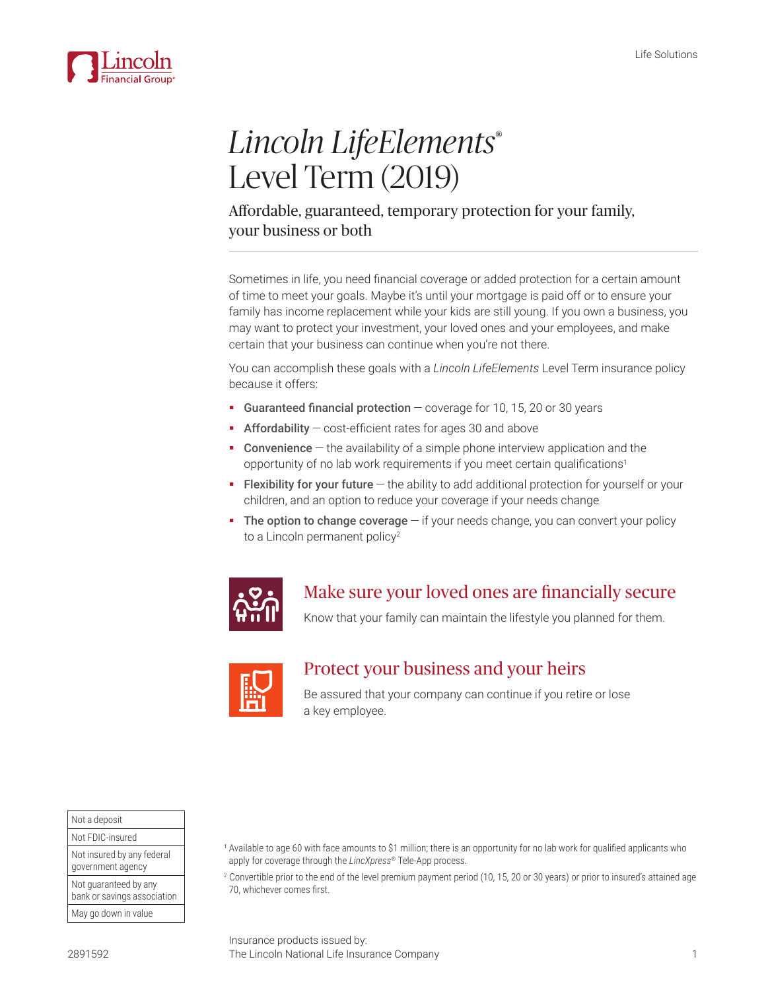

# *Lincoln LifeElements*® Level Term (2019)

### Affordable, guaranteed, temporary protection for your family, your business or both

Sometimes in life, you need financial coverage or added protection for a certain amount of time to meet your goals. Maybe it's until your mortgage is paid off or to ensure your family has income replacement while your kids are still young. If you own a business, you may want to protect your investment, your loved ones and your employees, and make certain that your business can continue when you're not there.

You can accomplish these goals with a *Lincoln LifeElements* Level Term insurance policy because it offers:

- Guaranteed financial protection  $-$  coverage for 10, 15, 20 or 30 years
- **Affordability** cost-efficient rates for ages 30 and above
- **Convenience**  $-$  the availability of a simple phone interview application and the opportunity of no lab work requirements if you meet certain qualifications<sup>1</sup>
- Flexibility for your future the ability to add additional protection for yourself or your children, and an option to reduce your coverage if your needs change
- The option to change coverage if your needs change, you can convert your policy to a Lincoln permanent policy<sup>2</sup>



## Make sure your loved ones are financially secure

Know that your family can maintain the lifestyle you planned for them.



## Protect your business and your heirs

Be assured that your company can continue if you retire or lose a key employee.

Not a deposit Not FDIC-insured Not insured by any federal government agency Not guaranteed by any bank or savings association May go down in value

<sup>1</sup> Available to age 60 with face amounts to \$1 million; there is an opportunity for no lab work for qualified applicants who apply for coverage through the *LincXpress*® Tele-App process.

<sup>2</sup> Convertible prior to the end of the level premium payment period (10, 15, 20 or 30 years) or prior to insured's attained age 70, whichever comes first.

Insurance products issued by: The Lincoln National Life Insurance Company 1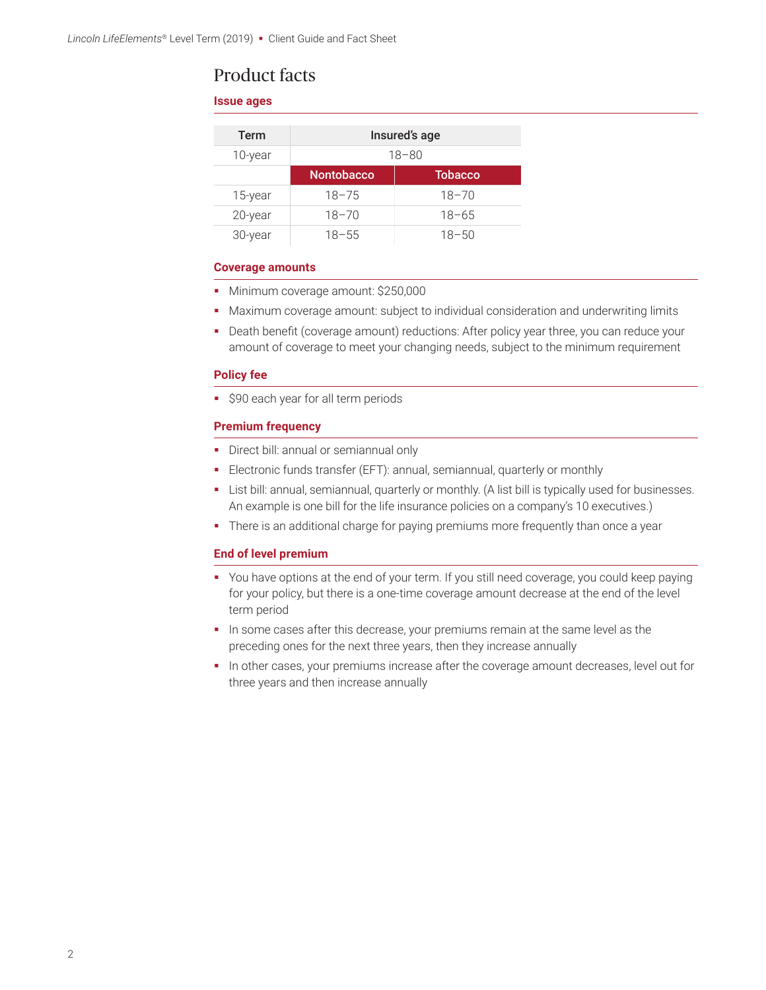### Product facts

### **Issue ages**

| Term    | Insured's age     |                |
|---------|-------------------|----------------|
| 10-year | $18 - 80$         |                |
|         | <b>Nontobacco</b> | <b>Tobacco</b> |
| 15-year | $18 - 75$         | $18 - 70$      |
| 20-year | $18 - 70$         | $18 - 65$      |
| 30-year | $18 - 55$         | $18 - 50$      |

### **Coverage amounts**

- Minimum coverage amount: \$250,000
- Maximum coverage amount: subject to individual consideration and underwriting limits
- Death benefit (coverage amount) reductions: After policy year three, you can reduce your amount of coverage to meet your changing needs, subject to the minimum requirement

#### **Policy fee**

**:** \$90 each year for all term periods

### **Premium frequency**

- Direct bill: annual or semiannual only
- Electronic funds transfer (EFT): annual, semiannual, quarterly or monthly
- List bill: annual, semiannual, quarterly or monthly. (A list bill is typically used for businesses. An example is one bill for the life insurance policies on a company's 10 executives.)
- There is an additional charge for paying premiums more frequently than once a year

### **End of level premium**

- You have options at the end of your term. If you still need coverage, you could keep paying for your policy, but there is a one-time coverage amount decrease at the end of the level term period
- In some cases after this decrease, your premiums remain at the same level as the preceding ones for the next three years, then they increase annually
- In other cases, your premiums increase after the coverage amount decreases, level out for three years and then increase annually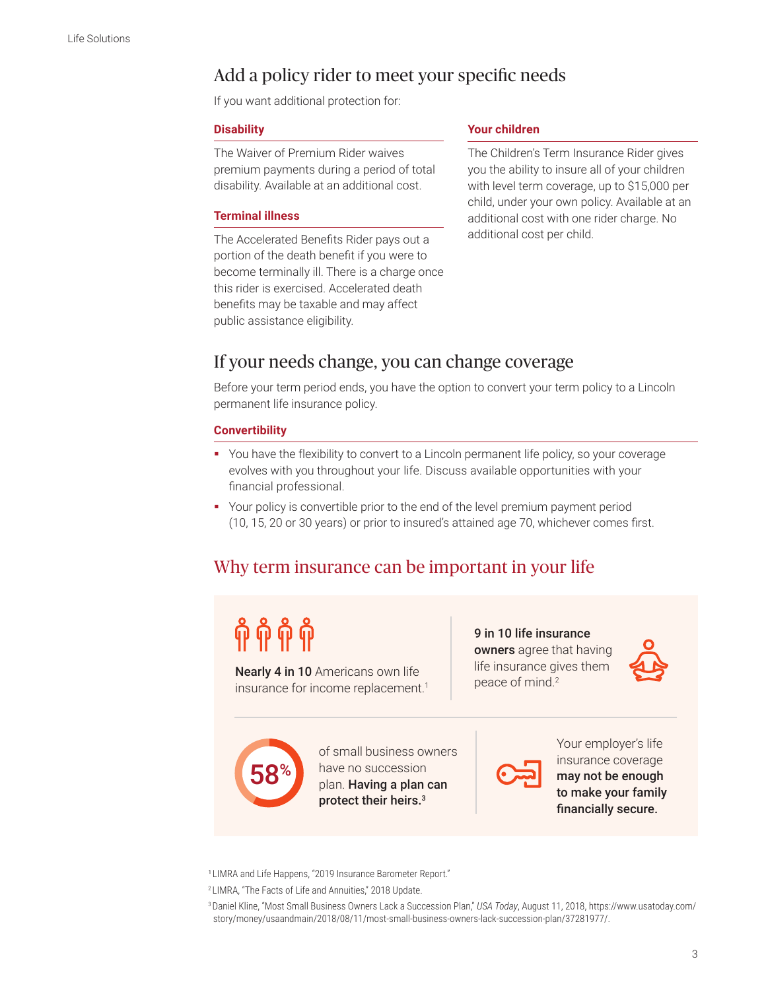# Add a policy rider to meet your specific needs

If you want additional protection for:

#### **Disability**

The Waiver of Premium Rider waives premium payments during a period of total disability. Available at an additional cost.

### **Terminal illness**

The Accelerated Benefits Rider pays out a portion of the death benefit if you were to become terminally ill. There is a charge once this rider is exercised. Accelerated death benefits may be taxable and may affect public assistance eligibility.

#### **Your children**

The Children's Term Insurance Rider gives you the ability to insure all of your children with level term coverage, up to \$15,000 per child, under your own policy. Available at an additional cost with one rider charge. No additional cost per child.

### If your needs change, you can change coverage

Before your term period ends, you have the option to convert your term policy to a Lincoln permanent life insurance policy.

### **Convertibility**

- You have the flexibility to convert to a Lincoln permanent life policy, so your coverage evolves with you throughout your life. Discuss available opportunities with your financial professional.
- Your policy is convertible prior to the end of the level premium payment period (10, 15, 20 or 30 years) or prior to insured's attained age 70, whichever comes first.

## Why term insurance can be important in your life

Nearly 4 in 10 Americans own life insurance for income replacement.<sup>1</sup>

9 in 10 life insurance owners agree that having life insurance gives them peace of mind.2





of small business owners have no succession plan. Having a plan can protect their heirs.<sup>3</sup>



Your employer's life insurance coverage may not be enough to make your family financially secure.

<sup>1</sup> LIMRA and Life Happens, "2019 Insurance Barometer Report."

<sup>2</sup>LIMRA, "The Facts of Life and Annuities," 2018 Update.

3 Daniel Kline, "Most Small Business Owners Lack a Succession Plan," *USA Today*, August 11, 2018, [https://www.usatoday.com/](https://www.usatoday.com/story/money/usaandmain/2018/08/11/most-small-business-owners-lack-succession-plan/37281977/) [story/money/usaandmain/2018/08/11/most-small-business-owners-lack-succession-plan/37281977/](https://www.usatoday.com/story/money/usaandmain/2018/08/11/most-small-business-owners-lack-succession-plan/37281977/).